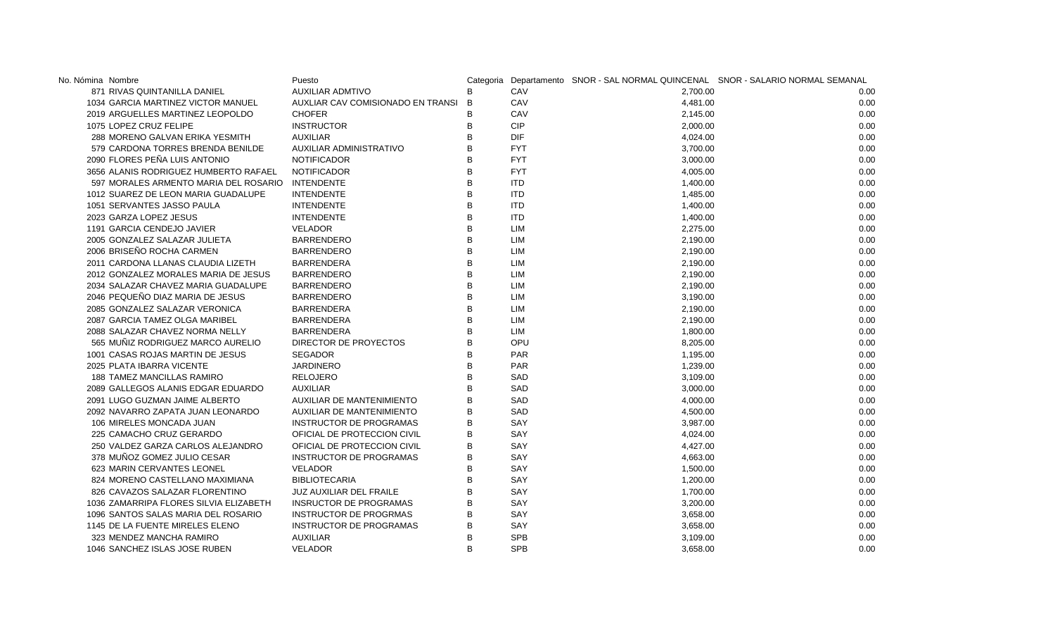| No. Nómina Nombre                                | Puesto                            |              |            |          | Categoria Departamento SNOR - SAL NORMAL QUINCENAL SNOR - SALARIO NORMAL SEMANAL |
|--------------------------------------------------|-----------------------------------|--------------|------------|----------|----------------------------------------------------------------------------------|
| 871 RIVAS QUINTANILLA DANIEL                     | <b>AUXILIAR ADMTIVO</b>           | B            | CAV        | 2.700.00 | 0.00                                                                             |
| 1034 GARCIA MARTINEZ VICTOR MANUEL               | AUXLIAR CAV COMISIONADO EN TRANSI | B            | CAV        | 4,481.00 | 0.00                                                                             |
| 2019 ARGUELLES MARTINEZ LEOPOLDO                 | <b>CHOFER</b>                     | в            | CAV        | 2,145.00 | 0.00                                                                             |
| 1075 LOPEZ CRUZ FELIPE                           | <b>INSTRUCTOR</b>                 | B            | <b>CIP</b> | 2,000.00 | 0.00                                                                             |
| 288 MORENO GALVAN ERIKA YESMITH                  | <b>AUXILIAR</b>                   | B            | <b>DIF</b> | 4,024.00 | 0.00                                                                             |
| 579 CARDONA TORRES BRENDA BENILDE                | AUXILIAR ADMINISTRATIVO           | B            | <b>FYT</b> | 3,700.00 | 0.00                                                                             |
| 2090 FLORES PEÑA LUIS ANTONIO                    | <b>NOTIFICADOR</b>                | B            | <b>FYT</b> | 3,000.00 | 0.00                                                                             |
| 3656 ALANIS RODRIGUEZ HUMBERTO RAFAEL            | <b>NOTIFICADOR</b>                | R            | <b>FYT</b> | 4,005.00 | 0.00                                                                             |
| 597 MORALES ARMENTO MARIA DEL ROSARIO INTENDENTE |                                   | B            | <b>ITD</b> | 1,400.00 | 0.00                                                                             |
| 1012 SUAREZ DE LEON MARIA GUADALUPE              | <b>INTENDENTE</b>                 | <sub>B</sub> | <b>ITD</b> | 1,485.00 | 0.00                                                                             |
| 1051 SERVANTES JASSO PAULA                       | <b>INTENDENTE</b>                 | B            | <b>ITD</b> | 1,400.00 | 0.00                                                                             |
| 2023 GARZA LOPEZ JESUS                           | <b>INTENDENTE</b>                 | B            | <b>ITD</b> | 1,400.00 | 0.00                                                                             |
| 1191 GARCIA CENDEJO JAVIER                       | <b>VELADOR</b>                    | B            | LIM        | 2,275.00 | 0.00                                                                             |
| 2005 GONZALEZ SALAZAR JULIETA                    | <b>BARRENDERO</b>                 | B            | LIM        | 2,190.00 | 0.00                                                                             |
| 2006 BRISEÑO ROCHA CARMEN                        | <b>BARRENDERO</b>                 | B            | LIM        | 2,190.00 | 0.00                                                                             |
| 2011 CARDONA LLANAS CLAUDIA LIZETH               | <b>BARRENDERA</b>                 | B            | LIM        | 2,190.00 | 0.00                                                                             |
| 2012 GONZALEZ MORALES MARIA DE JESUS             | <b>BARRENDERO</b>                 | B            | LIM        | 2,190.00 | 0.00                                                                             |
| 2034 SALAZAR CHAVEZ MARIA GUADALUPE              | <b>BARRENDERO</b>                 | B            | LIM        | 2,190.00 | 0.00                                                                             |
| 2046 PEQUEÑO DIAZ MARIA DE JESUS                 | <b>BARRENDERO</b>                 | B            | LIM        | 3,190.00 | 0.00                                                                             |
| 2085 GONZALEZ SALAZAR VERONICA                   | <b>BARRENDERA</b>                 | B            | LIM        | 2,190.00 | 0.00                                                                             |
| 2087 GARCIA TAMEZ OLGA MARIBEL                   | <b>BARRENDERA</b>                 | B            | LIM        | 2,190.00 | 0.00                                                                             |
| 2088 SALAZAR CHAVEZ NORMA NELLY                  | <b>BARRENDERA</b>                 | B            | LIM        | 1,800.00 | 0.00                                                                             |
| 565 MUÑIZ RODRIGUEZ MARCO AURELIO                | DIRECTOR DE PROYECTOS             | B            | OPU        | 8,205.00 | 0.00                                                                             |
| 1001 CASAS ROJAS MARTIN DE JESUS                 | <b>SEGADOR</b>                    | R            | <b>PAR</b> | 1,195.00 | 0.00                                                                             |
| 2025 PLATA IBARRA VICENTE                        | <b>JARDINERO</b>                  | B            | <b>PAR</b> | 1,239.00 | 0.00                                                                             |
| 188 TAMEZ MANCILLAS RAMIRO                       | <b>RELOJERO</b>                   | R            | SAD        | 3,109.00 | 0.00                                                                             |
| 2089 GALLEGOS ALANIS EDGAR EDUARDO               | <b>AUXILIAR</b>                   | B            | <b>SAD</b> | 3,000.00 | 0.00                                                                             |
| 2091 LUGO GUZMAN JAIME ALBERTO                   | <b>AUXILIAR DE MANTENIMIENTO</b>  | B            | SAD        | 4,000.00 | 0.00                                                                             |
| 2092 NAVARRO ZAPATA JUAN LEONARDO                | AUXILIAR DE MANTENIMIENTO         | B            | SAD        | 4,500.00 | 0.00                                                                             |
| 106 MIRELES MONCADA JUAN                         | INSTRUCTOR DE PROGRAMAS           | B            | SAY        | 3,987.00 | 0.00                                                                             |
| 225 CAMACHO CRUZ GERARDO                         | OFICIAL DE PROTECCION CIVIL       | B            | SAY        | 4,024.00 | 0.00                                                                             |
| 250 VALDEZ GARZA CARLOS ALEJANDRO                | OFICIAL DE PROTECCION CIVIL       | B            | SAY        | 4,427.00 | 0.00                                                                             |
| 378 MUÑOZ GOMEZ JULIO CESAR                      | INSTRUCTOR DE PROGRAMAS           |              | SAY        | 4,663.00 | 0.00                                                                             |
| 623 MARIN CERVANTES LEONEL                       | VELADOR                           | B            | SAY        | 1,500.00 | 0.00                                                                             |
| 824 MORENO CASTELLANO MAXIMIANA                  | <b>BIBLIOTECARIA</b>              |              | SAY        | 1,200.00 | 0.00                                                                             |
| 826 CAVAZOS SALAZAR FLORENTINO                   | <b>JUZ AUXILIAR DEL FRAILE</b>    | B            | SAY        | 1,700.00 | 0.00                                                                             |
| 1036 ZAMARRIPA FLORES SILVIA ELIZABETH           | <b>INSRUCTOR DE PROGRAMAS</b>     | B            | SAY        | 3,200.00 | 0.00                                                                             |
| 1096 SANTOS SALAS MARIA DEL ROSARIO              | INSTRUCTOR DE PROGRMAS            | B            | SAY        | 3,658.00 | 0.00                                                                             |
| 1145 DE LA FUENTE MIRELES ELENO                  | INSTRUCTOR DE PROGRAMAS           | B            | SAY        | 3,658.00 | 0.00                                                                             |
| 323 MENDEZ MANCHA RAMIRO                         | <b>AUXILIAR</b>                   | B            | <b>SPB</b> | 3,109.00 | 0.00                                                                             |
| 1046 SANCHEZ ISLAS JOSE RUBEN                    | <b>VELADOR</b>                    | R            | <b>SPB</b> | 3,658.00 | 0.00                                                                             |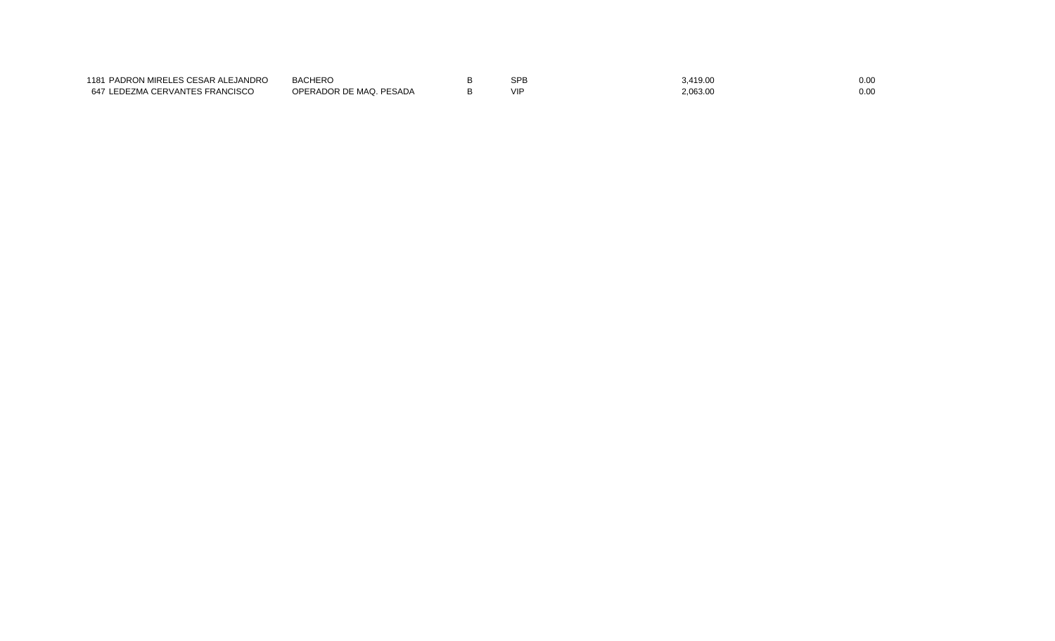| 1181 PADRON MIRELES CESAR ALEJANDRO | BACHERO                 | <b>SPI</b> | 3,419.00 | 0.00 |
|-------------------------------------|-------------------------|------------|----------|------|
| 647 LEDEZMA CERVANTES FRANCISCO     | OPERADOR DE MAQ. PESADA |            | 2,063.00 | 0.00 |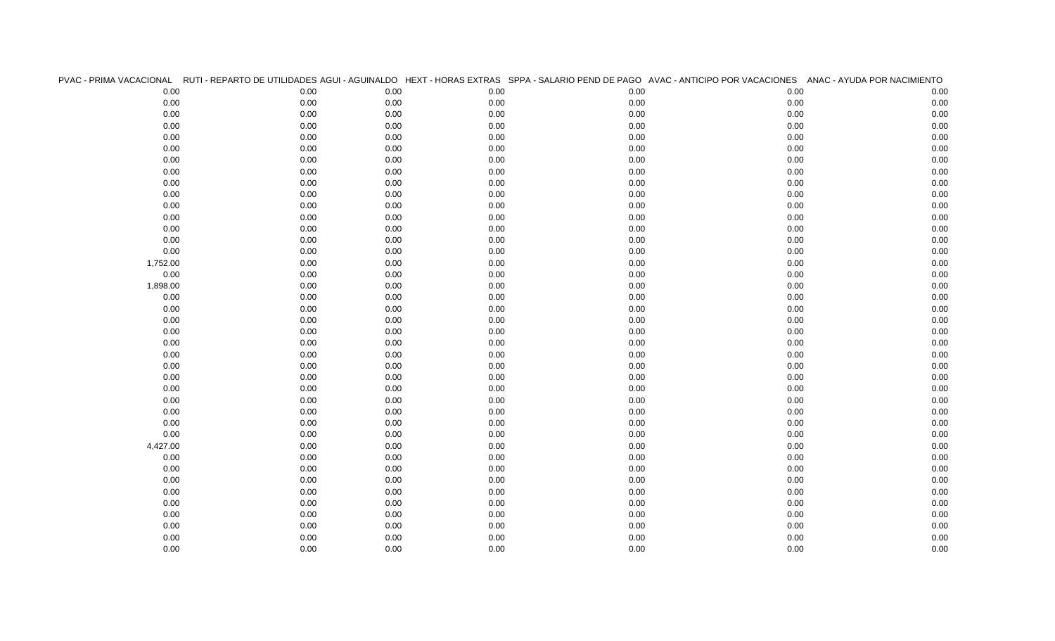|          |          |      |      |      | PVAC - PRIMA VACACIONAL RUTI - REPARTO DE UTILIDADES AGUI - AGUINALDO HEXT - HORAS EXTRAS SPPA - SALARIO PEND DE PAGO AVAC - ANTICIPO POR VACACIONES ANAC - AYUDA POR NACIMIENTO |      |
|----------|----------|------|------|------|----------------------------------------------------------------------------------------------------------------------------------------------------------------------------------|------|
| 0.00     | 0.00     | 0.00 | 0.00 | 0.00 | 0.00                                                                                                                                                                             | 0.00 |
| 0.00     | 0.00     | 0.00 | 0.00 | 0.00 | $0.00\,$                                                                                                                                                                         | 0.00 |
| 0.00     | $0.00\,$ | 0.00 | 0.00 | 0.00 | $0.00\,$                                                                                                                                                                         | 0.00 |
| 0.00     | 0.00     | 0.00 | 0.00 | 0.00 | 0.00                                                                                                                                                                             | 0.00 |
| 0.00     | 0.00     | 0.00 | 0.00 | 0.00 | $0.00\,$                                                                                                                                                                         | 0.00 |
| 0.00     | 0.00     | 0.00 | 0.00 | 0.00 | 0.00                                                                                                                                                                             | 0.00 |
| 0.00     | $0.00\,$ | 0.00 | 0.00 | 0.00 | $0.00\,$                                                                                                                                                                         | 0.00 |
| 0.00     | 0.00     | 0.00 | 0.00 | 0.00 | 0.00                                                                                                                                                                             | 0.00 |
| 0.00     | 0.00     | 0.00 | 0.00 | 0.00 | $0.00\,$                                                                                                                                                                         | 0.00 |
| 0.00     | 0.00     | 0.00 | 0.00 | 0.00 | 0.00                                                                                                                                                                             | 0.00 |
| 0.00     | 0.00     | 0.00 | 0.00 | 0.00 | 0.00                                                                                                                                                                             | 0.00 |
| 0.00     | 0.00     | 0.00 | 0.00 | 0.00 | 0.00                                                                                                                                                                             | 0.00 |
| 0.00     | 0.00     | 0.00 | 0.00 | 0.00 | 0.00                                                                                                                                                                             | 0.00 |
| 0.00     | 0.00     | 0.00 | 0.00 | 0.00 | $0.00\,$                                                                                                                                                                         | 0.00 |
| 0.00     | 0.00     | 0.00 | 0.00 | 0.00 | $0.00\,$                                                                                                                                                                         | 0.00 |
| 1,752.00 | 0.00     | 0.00 | 0.00 | 0.00 | $0.00\,$                                                                                                                                                                         | 0.00 |
| 0.00     | 0.00     | 0.00 | 0.00 | 0.00 | 0.00                                                                                                                                                                             | 0.00 |
| 1,898.00 | 0.00     | 0.00 | 0.00 | 0.00 | $0.00\,$                                                                                                                                                                         | 0.00 |
| 0.00     | 0.00     | 0.00 | 0.00 | 0.00 | $0.00\,$                                                                                                                                                                         | 0.00 |
| 0.00     | 0.00     | 0.00 | 0.00 | 0.00 | 0.00                                                                                                                                                                             | 0.00 |
| 0.00     | 0.00     | 0.00 | 0.00 | 0.00 | 0.00                                                                                                                                                                             | 0.00 |
| 0.00     | 0.00     | 0.00 | 0.00 | 0.00 | 0.00                                                                                                                                                                             | 0.00 |
| 0.00     | $0.00\,$ | 0.00 | 0.00 | 0.00 | $0.00\,$                                                                                                                                                                         | 0.00 |
| 0.00     | 0.00     | 0.00 | 0.00 | 0.00 | 0.00                                                                                                                                                                             | 0.00 |
| 0.00     | 0.00     | 0.00 | 0.00 | 0.00 | $0.00\,$                                                                                                                                                                         | 0.00 |
| 0.00     | 0.00     | 0.00 | 0.00 | 0.00 | 0.00                                                                                                                                                                             | 0.00 |
| 0.00     | $0.00\,$ | 0.00 | 0.00 | 0.00 | $0.00\,$                                                                                                                                                                         | 0.00 |
| 0.00     | 0.00     | 0.00 | 0.00 | 0.00 | $0.00\,$                                                                                                                                                                         | 0.00 |
| 0.00     | 0.00     | 0.00 | 0.00 | 0.00 | $0.00\,$                                                                                                                                                                         | 0.00 |
| 0.00     | 0.00     | 0.00 | 0.00 | 0.00 | $0.00\,$                                                                                                                                                                         | 0.00 |
| 0.00     | 0.00     | 0.00 | 0.00 | 0.00 | 0.00                                                                                                                                                                             | 0.00 |
| 4,427.00 | 0.00     | 0.00 | 0.00 | 0.00 | $0.00\,$                                                                                                                                                                         | 0.00 |
| 0.00     | 0.00     | 0.00 | 0.00 | 0.00 | 0.00                                                                                                                                                                             | 0.00 |
| 0.00     | 0.00     | 0.00 | 0.00 | 0.00 | $0.00\,$                                                                                                                                                                         | 0.00 |
| 0.00     | 0.00     | 0.00 | 0.00 | 0.00 | $0.00\,$                                                                                                                                                                         | 0.00 |
| 0.00     | $0.00\,$ | 0.00 | 0.00 | 0.00 | $0.00\,$                                                                                                                                                                         | 0.00 |
| 0.00     | 0.00     | 0.00 | 0.00 | 0.00 | $0.00\,$                                                                                                                                                                         | 0.00 |
| 0.00     | 0.00     | 0.00 | 0.00 | 0.00 | $0.00\,$                                                                                                                                                                         | 0.00 |
| 0.00     | 0.00     | 0.00 | 0.00 | 0.00 | $0.00\,$                                                                                                                                                                         | 0.00 |
| 0.00     | 0.00     | 0.00 | 0.00 | 0.00 | 0.00                                                                                                                                                                             | 0.00 |
| 0.00     | 0.00     | 0.00 | 0.00 | 0.00 | 0.00                                                                                                                                                                             | 0.00 |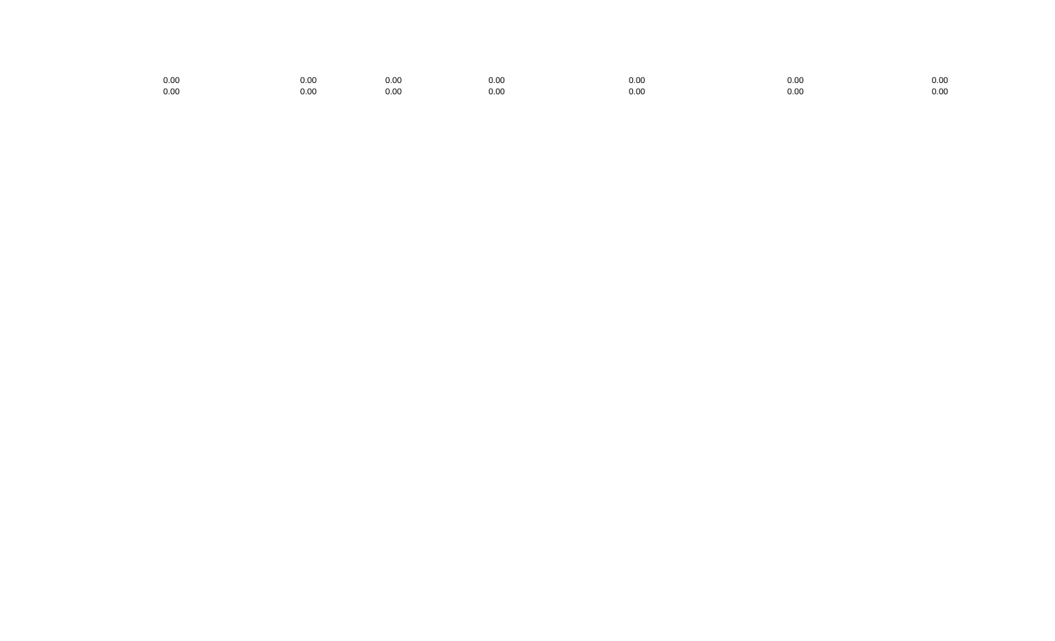| 0.00 | 0.00 | 0.00 | 0.00 | 0.00 | 0.00 | 0.0c |
|------|------|------|------|------|------|------|
| 0.00 | 0.OC | 0.00 | 0.00 | 0.00 | 0.00 | 0.00 |
|      |      |      |      |      |      |      |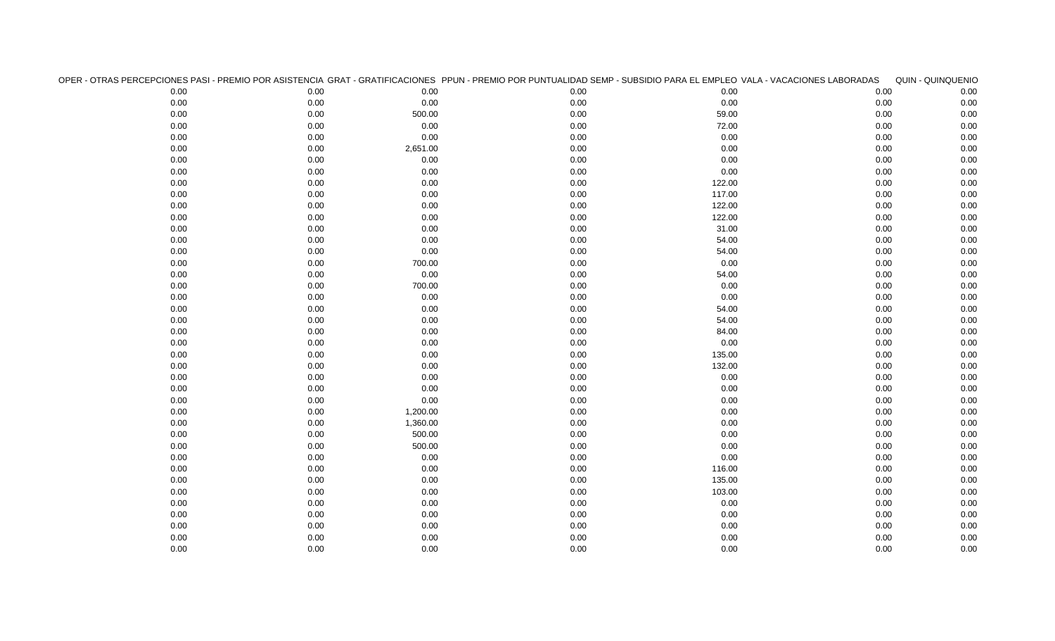| OPER - OTRAS PERCEPCIONES PASI - PREMIO POR ASISTENCIA GRAT - GRATIFICACIONES PPUN - PREMIO POR PUNTUALIDAD SEMP - SUBSIDIO PARA EL EMPLEO VALA - VACACIONES LABORADAS |          |          |      |        |      | QUIN - QUINQUENIO |
|------------------------------------------------------------------------------------------------------------------------------------------------------------------------|----------|----------|------|--------|------|-------------------|
| 0.00                                                                                                                                                                   | 0.00     | 0.00     | 0.00 | 0.00   | 0.00 | 0.00              |
| 0.00                                                                                                                                                                   | 0.00     | 0.00     | 0.00 | 0.00   | 0.00 | 0.00              |
| $0.00\,$                                                                                                                                                               | $0.00\,$ | 500.00   | 0.00 | 59.00  | 0.00 | 0.00              |
| 0.00                                                                                                                                                                   | 0.00     | 0.00     | 0.00 | 72.00  | 0.00 | 0.00              |
| 0.00                                                                                                                                                                   | 0.00     | 0.00     | 0.00 | 0.00   | 0.00 | $0.00\,$          |
| 0.00                                                                                                                                                                   | 0.00     | 2,651.00 | 0.00 | 0.00   | 0.00 | 0.00              |
| 0.00                                                                                                                                                                   | 0.00     | 0.00     | 0.00 | 0.00   | 0.00 | 0.00              |
| 0.00                                                                                                                                                                   | $0.00\,$ | 0.00     | 0.00 | 0.00   | 0.00 | $0.00\,$          |
| 0.00                                                                                                                                                                   | 0.00     | 0.00     | 0.00 | 122.00 | 0.00 | 0.00              |
| 0.00                                                                                                                                                                   | 0.00     | 0.00     | 0.00 | 117.00 | 0.00 | 0.00              |
| 0.00                                                                                                                                                                   | 0.00     | 0.00     | 0.00 | 122.00 | 0.00 | 0.00              |
| 0.00                                                                                                                                                                   | 0.00     | 0.00     | 0.00 | 122.00 | 0.00 | 0.00              |
| 0.00                                                                                                                                                                   | 0.00     | 0.00     | 0.00 | 31.00  | 0.00 | 0.00              |
| 0.00                                                                                                                                                                   | 0.00     | 0.00     | 0.00 | 54.00  | 0.00 | 0.00              |
| 0.00                                                                                                                                                                   | 0.00     | 0.00     | 0.00 | 54.00  | 0.00 | $0.00\,$          |
| 0.00                                                                                                                                                                   | 0.00     | 700.00   | 0.00 | 0.00   | 0.00 | 0.00              |
| 0.00                                                                                                                                                                   | 0.00     | 0.00     | 0.00 | 54.00  | 0.00 | 0.00              |
| 0.00                                                                                                                                                                   | 0.00     | 700.00   | 0.00 | 0.00   | 0.00 | 0.00              |
| 0.00                                                                                                                                                                   | 0.00     | 0.00     | 0.00 | 0.00   | 0.00 | 0.00              |
| 0.00                                                                                                                                                                   | 0.00     | 0.00     | 0.00 | 54.00  | 0.00 | 0.00              |
| 0.00                                                                                                                                                                   | 0.00     | 0.00     | 0.00 | 54.00  | 0.00 | 0.00              |
| 0.00                                                                                                                                                                   | $0.00\,$ | 0.00     | 0.00 | 84.00  | 0.00 | $0.00\,$          |
| 0.00                                                                                                                                                                   | 0.00     | 0.00     | 0.00 | 0.00   | 0.00 | 0.00              |
| 0.00                                                                                                                                                                   | 0.00     | 0.00     | 0.00 | 135.00 | 0.00 | 0.00              |
| 0.00                                                                                                                                                                   | 0.00     | 0.00     | 0.00 | 132.00 | 0.00 | 0.00              |
| 0.00                                                                                                                                                                   | 0.00     | 0.00     | 0.00 | 0.00   | 0.00 | 0.00              |
| 0.00                                                                                                                                                                   | 0.00     | 0.00     | 0.00 | 0.00   | 0.00 | 0.00              |
| 0.00                                                                                                                                                                   | 0.00     | 0.00     | 0.00 | 0.00   | 0.00 | 0.00              |
| 0.00                                                                                                                                                                   | 0.00     | 1,200.00 | 0.00 | 0.00   | 0.00 | 0.00              |
| 0.00                                                                                                                                                                   | 0.00     | 1,360.00 | 0.00 | 0.00   | 0.00 | 0.00              |
| 0.00                                                                                                                                                                   | 0.00     | 500.00   | 0.00 | 0.00   | 0.00 | 0.00              |
| 0.00                                                                                                                                                                   | 0.00     | 500.00   | 0.00 | 0.00   | 0.00 | 0.00              |
| 0.00                                                                                                                                                                   | 0.00     | 0.00     | 0.00 | 0.00   | 0.00 | $0.00\,$          |
| 0.00                                                                                                                                                                   | 0.00     | 0.00     | 0.00 | 116.00 | 0.00 | $0.00\,$          |
| 0.00                                                                                                                                                                   | 0.00     | 0.00     | 0.00 | 135.00 | 0.00 | 0.00              |
| 0.00                                                                                                                                                                   | $0.00\,$ | 0.00     | 0.00 | 103.00 | 0.00 | $0.00\,$          |
| 0.00                                                                                                                                                                   | 0.00     | 0.00     | 0.00 | 0.00   | 0.00 | 0.00              |
| 0.00                                                                                                                                                                   | $0.00\,$ | 0.00     | 0.00 | 0.00   | 0.00 | 0.00              |
| 0.00                                                                                                                                                                   | 0.00     | 0.00     | 0.00 | 0.00   | 0.00 | 0.00              |
| 0.00                                                                                                                                                                   | 0.00     | 0.00     | 0.00 | 0.00   | 0.00 | 0.00              |
| 0.00                                                                                                                                                                   | 0.00     | 0.00     | 0.00 | 0.00   | 0.00 | 0.00              |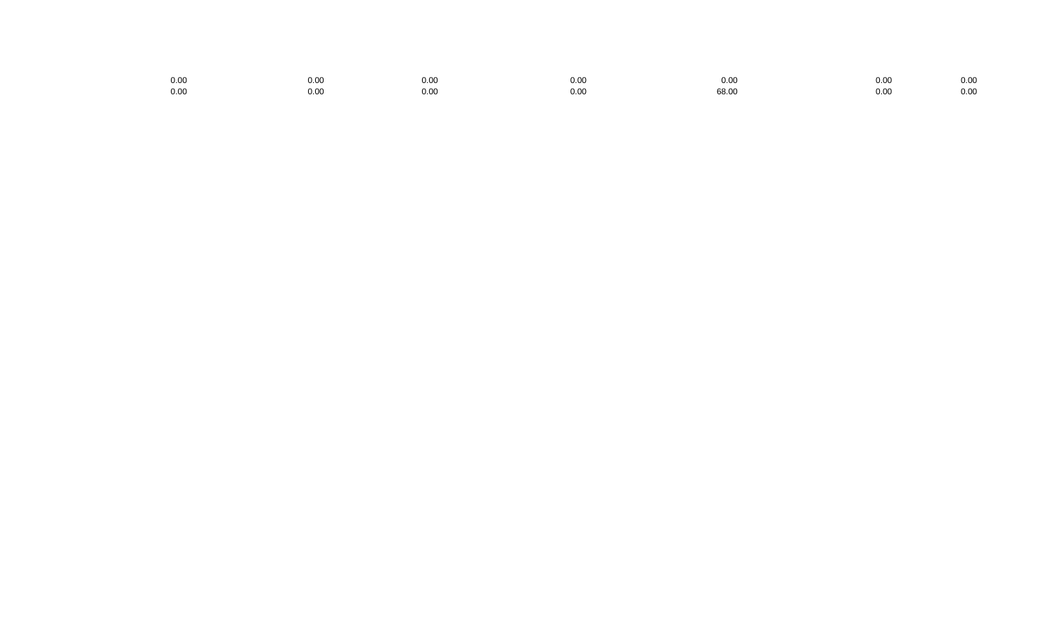| 0.00 | 0.00 | 0.00 | 0.00 | 0.00  | 0.00 | 0.00 |
|------|------|------|------|-------|------|------|
|      |      |      |      |       |      |      |
| 0.00 | 0.00 | 0.00 | 0.00 | 68.00 | 0.00 | 0.00 |
|      |      |      |      |       |      |      |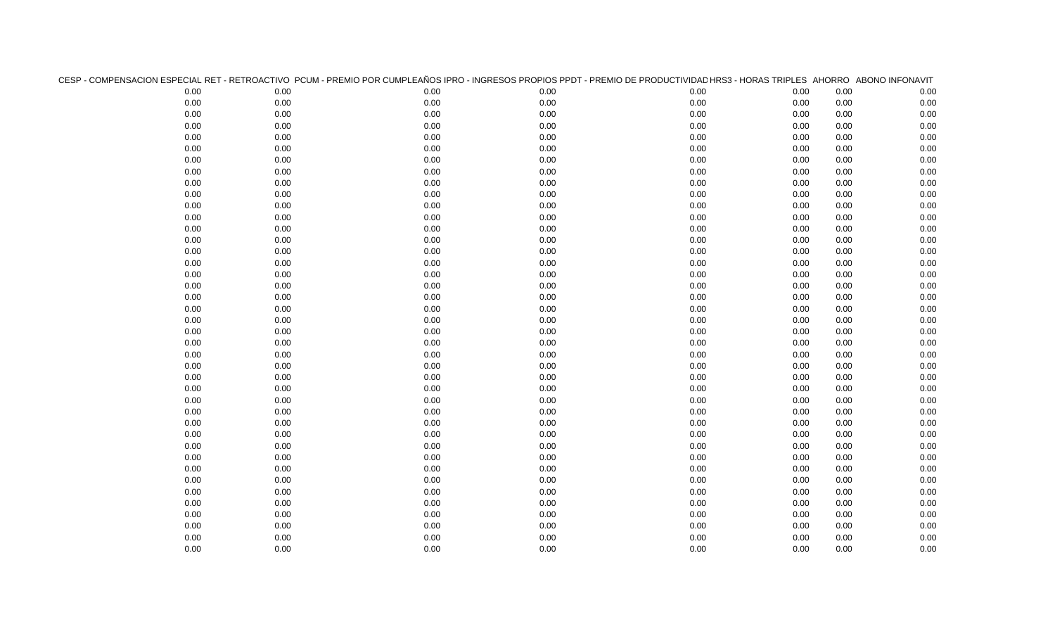| CESP - COMPENSACION ESPECIAL RET - RETROACTIVO PCUM - PREMIO POR CUMPLEAÑOS IPRO - INGRESOS PROPIOS PPDT - PREMIO DE PRODUCTIVIDAD HRS3 - HORAS TRIPLES AHORRO ABONO INFONAVIT |      |      |      |      |      |      |      |
|--------------------------------------------------------------------------------------------------------------------------------------------------------------------------------|------|------|------|------|------|------|------|
| 0.00                                                                                                                                                                           | 0.00 | 0.00 | 0.00 | 0.00 | 0.00 | 0.00 | 0.00 |
| 0.00                                                                                                                                                                           | 0.00 | 0.00 | 0.00 | 0.00 | 0.00 | 0.00 | 0.00 |
| 0.00                                                                                                                                                                           | 0.00 | 0.00 | 0.00 | 0.00 | 0.00 | 0.00 | 0.00 |
| 0.00                                                                                                                                                                           | 0.00 | 0.00 | 0.00 | 0.00 | 0.00 | 0.00 | 0.00 |
| 0.00                                                                                                                                                                           | 0.00 | 0.00 | 0.00 | 0.00 | 0.00 | 0.00 | 0.00 |
| 0.00                                                                                                                                                                           | 0.00 | 0.00 | 0.00 | 0.00 | 0.00 | 0.00 | 0.00 |
| 0.00                                                                                                                                                                           | 0.00 | 0.00 | 0.00 | 0.00 | 0.00 | 0.00 | 0.00 |
| 0.00                                                                                                                                                                           | 0.00 | 0.00 | 0.00 | 0.00 | 0.00 | 0.00 | 0.00 |
| 0.00                                                                                                                                                                           | 0.00 | 0.00 | 0.00 | 0.00 | 0.00 | 0.00 | 0.00 |
| 0.00                                                                                                                                                                           | 0.00 | 0.00 | 0.00 | 0.00 | 0.00 | 0.00 | 0.00 |
| 0.00                                                                                                                                                                           | 0.00 | 0.00 | 0.00 | 0.00 | 0.00 | 0.00 | 0.00 |
| 0.00                                                                                                                                                                           | 0.00 | 0.00 | 0.00 | 0.00 | 0.00 | 0.00 | 0.00 |
| 0.00                                                                                                                                                                           | 0.00 | 0.00 | 0.00 | 0.00 | 0.00 | 0.00 | 0.00 |
| 0.00                                                                                                                                                                           | 0.00 | 0.00 | 0.00 | 0.00 | 0.00 | 0.00 | 0.00 |
| 0.00                                                                                                                                                                           | 0.00 | 0.00 | 0.00 | 0.00 | 0.00 | 0.00 | 0.00 |
| 0.00                                                                                                                                                                           | 0.00 | 0.00 | 0.00 | 0.00 | 0.00 | 0.00 | 0.00 |
| 0.00                                                                                                                                                                           | 0.00 | 0.00 | 0.00 | 0.00 | 0.00 | 0.00 | 0.00 |
| 0.00                                                                                                                                                                           | 0.00 | 0.00 | 0.00 | 0.00 | 0.00 | 0.00 | 0.00 |
| 0.00                                                                                                                                                                           | 0.00 | 0.00 | 0.00 | 0.00 | 0.00 | 0.00 | 0.00 |
| 0.00                                                                                                                                                                           | 0.00 | 0.00 | 0.00 | 0.00 | 0.00 | 0.00 | 0.00 |
| 0.00                                                                                                                                                                           | 0.00 | 0.00 | 0.00 | 0.00 | 0.00 | 0.00 | 0.00 |
| 0.00                                                                                                                                                                           | 0.00 | 0.00 | 0.00 | 0.00 | 0.00 | 0.00 | 0.00 |
| 0.00                                                                                                                                                                           | 0.00 | 0.00 | 0.00 | 0.00 | 0.00 | 0.00 | 0.00 |
| 0.00                                                                                                                                                                           | 0.00 | 0.00 | 0.00 | 0.00 | 0.00 | 0.00 | 0.00 |
| 0.00                                                                                                                                                                           | 0.00 | 0.00 | 0.00 | 0.00 | 0.00 | 0.00 | 0.00 |
| 0.00                                                                                                                                                                           | 0.00 | 0.00 | 0.00 | 0.00 | 0.00 | 0.00 | 0.00 |
| 0.00                                                                                                                                                                           | 0.00 | 0.00 | 0.00 | 0.00 | 0.00 | 0.00 | 0.00 |
| 0.00                                                                                                                                                                           | 0.00 | 0.00 | 0.00 | 0.00 | 0.00 | 0.00 | 0.00 |
| 0.00                                                                                                                                                                           | 0.00 | 0.00 | 0.00 | 0.00 | 0.00 | 0.00 | 0.00 |
| 0.00                                                                                                                                                                           | 0.00 | 0.00 | 0.00 | 0.00 | 0.00 | 0.00 | 0.00 |
| 0.00                                                                                                                                                                           | 0.00 | 0.00 | 0.00 | 0.00 | 0.00 | 0.00 | 0.00 |
| 0.00                                                                                                                                                                           | 0.00 | 0.00 | 0.00 | 0.00 | 0.00 | 0.00 | 0.00 |
| 0.00                                                                                                                                                                           | 0.00 | 0.00 | 0.00 | 0.00 | 0.00 | 0.00 | 0.00 |
| 0.00                                                                                                                                                                           | 0.00 | 0.00 | 0.00 | 0.00 | 0.00 | 0.00 | 0.00 |
| 0.00                                                                                                                                                                           | 0.00 | 0.00 | 0.00 | 0.00 | 0.00 | 0.00 | 0.00 |
| 0.00                                                                                                                                                                           | 0.00 | 0.00 | 0.00 | 0.00 | 0.00 | 0.00 | 0.00 |
| 0.00                                                                                                                                                                           | 0.00 | 0.00 | 0.00 | 0.00 | 0.00 | 0.00 | 0.00 |
| 0.00                                                                                                                                                                           | 0.00 | 0.00 | 0.00 | 0.00 | 0.00 | 0.00 | 0.00 |
| 0.00                                                                                                                                                                           | 0.00 | 0.00 | 0.00 | 0.00 | 0.00 | 0.00 | 0.00 |
| 0.00                                                                                                                                                                           | 0.00 | 0.00 | 0.00 | 0.00 | 0.00 | 0.00 | 0.00 |
| 0.00                                                                                                                                                                           | 0.00 | 0.00 | 0.00 | 0.00 | 0.00 | 0.00 | 0.00 |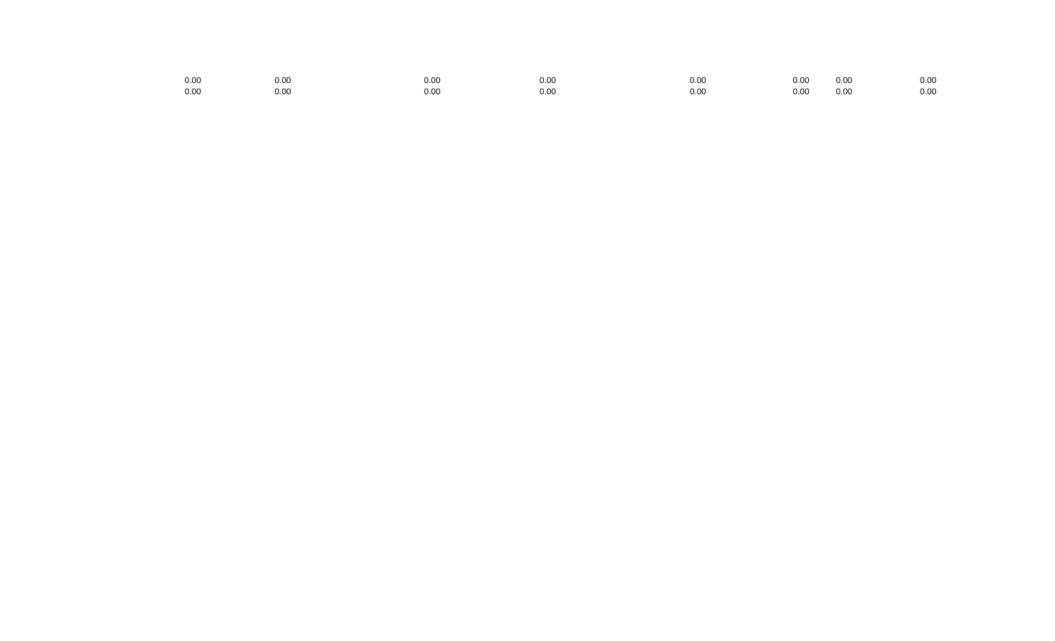| 0.00 | $_{0.00}$ | 0.00 | 0.00 | 0.OC | 0.00 | 0.00 | 0.00 |
|------|-----------|------|------|------|------|------|------|
| 0.00 | 0.00      | 0.00 | 0.00 | 0.00 | 0.00 | 0.00 | 0.00 |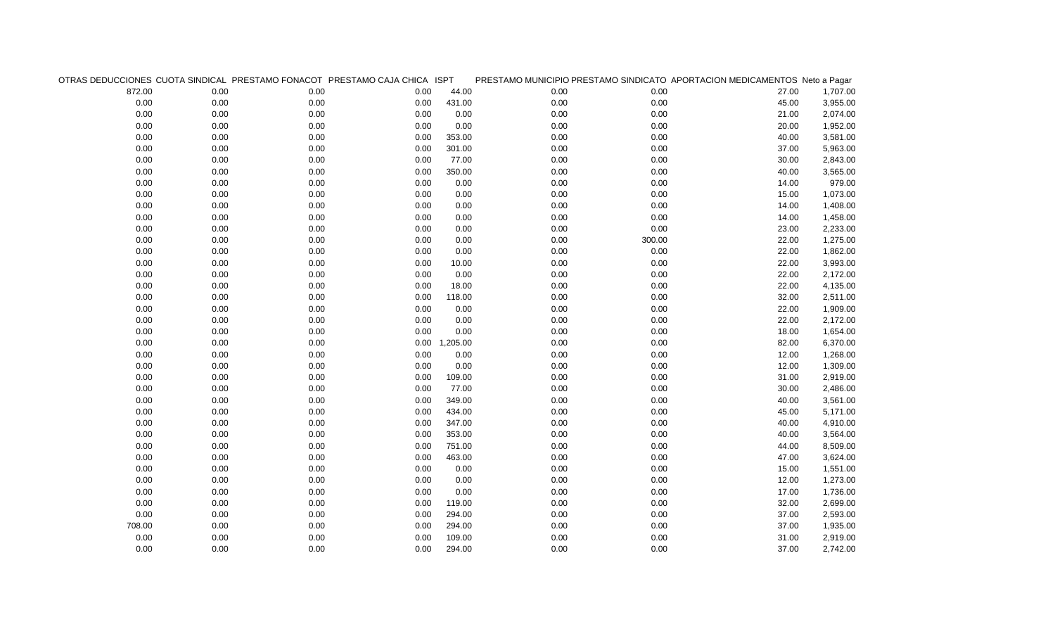|        |          |      | OTRAS DEDUCCIONES CUOTA SINDICAL PRESTAMO FONACOT PRESTAMO CAJA CHICA ISPT |               |      |        | PRESTAMO MUNICIPIO PRESTAMO SINDICATO APORTACION MEDICAMENTOS Neto a Pagar |          |
|--------|----------|------|----------------------------------------------------------------------------|---------------|------|--------|----------------------------------------------------------------------------|----------|
| 872.00 | 0.00     | 0.00 | 0.00                                                                       | 44.00         | 0.00 | 0.00   | 27.00                                                                      | 1,707.00 |
| 0.00   | $0.00\,$ | 0.00 | 0.00                                                                       | 431.00        | 0.00 | 0.00   | 45.00                                                                      | 3,955.00 |
| 0.00   | 0.00     | 0.00 | 0.00                                                                       | 0.00          | 0.00 | 0.00   | 21.00                                                                      | 2,074.00 |
| 0.00   | 0.00     | 0.00 | 0.00                                                                       | 0.00          | 0.00 | 0.00   | 20.00                                                                      | 1,952.00 |
| 0.00   | 0.00     | 0.00 | 0.00                                                                       | 353.00        | 0.00 | 0.00   | 40.00                                                                      | 3,581.00 |
| 0.00   | 0.00     | 0.00 | 0.00                                                                       | 301.00        | 0.00 | 0.00   | 37.00                                                                      | 5,963.00 |
| 0.00   | 0.00     | 0.00 | 0.00                                                                       | 77.00         | 0.00 | 0.00   | 30.00                                                                      | 2,843.00 |
| 0.00   | $0.00\,$ | 0.00 | 0.00                                                                       | 350.00        | 0.00 | 0.00   | 40.00                                                                      | 3,565.00 |
| 0.00   | 0.00     | 0.00 | 0.00                                                                       | 0.00          | 0.00 | 0.00   | 14.00                                                                      | 979.00   |
| 0.00   | 0.00     | 0.00 | 0.00                                                                       | 0.00          | 0.00 | 0.00   | 15.00                                                                      | 1,073.00 |
| 0.00   | $0.00\,$ | 0.00 | 0.00                                                                       | 0.00          | 0.00 | 0.00   | 14.00                                                                      | 1,408.00 |
| 0.00   | 0.00     | 0.00 | 0.00                                                                       | 0.00          | 0.00 | 0.00   | 14.00                                                                      | 1,458.00 |
| 0.00   | 0.00     | 0.00 | 0.00                                                                       | 0.00          | 0.00 | 0.00   | 23.00                                                                      | 2,233.00 |
| 0.00   | 0.00     | 0.00 | 0.00                                                                       | 0.00          | 0.00 | 300.00 | 22.00                                                                      | 1,275.00 |
| 0.00   | 0.00     | 0.00 | 0.00                                                                       | 0.00          | 0.00 | 0.00   | 22.00                                                                      | 1,862.00 |
| 0.00   | 0.00     | 0.00 | 0.00                                                                       | 10.00         | 0.00 | 0.00   | 22.00                                                                      | 3,993.00 |
| 0.00   | 0.00     | 0.00 | 0.00                                                                       | 0.00          | 0.00 | 0.00   | 22.00                                                                      | 2,172.00 |
| 0.00   | 0.00     | 0.00 | 0.00                                                                       | 18.00         | 0.00 | 0.00   | 22.00                                                                      | 4,135.00 |
| 0.00   | 0.00     | 0.00 | 0.00                                                                       | 118.00        | 0.00 | 0.00   | 32.00                                                                      | 2,511.00 |
| 0.00   | 0.00     | 0.00 | 0.00                                                                       | 0.00          | 0.00 | 0.00   | 22.00                                                                      | 1,909.00 |
| 0.00   | 0.00     | 0.00 | 0.00                                                                       | 0.00          | 0.00 | 0.00   | 22.00                                                                      | 2,172.00 |
| 0.00   | 0.00     | 0.00 | 0.00                                                                       | 0.00          | 0.00 | 0.00   | 18.00                                                                      | 1,654.00 |
| 0.00   | 0.00     | 0.00 |                                                                            | 0.00 1,205.00 | 0.00 | 0.00   | 82.00                                                                      | 6,370.00 |
| 0.00   | 0.00     | 0.00 | 0.00                                                                       | 0.00          | 0.00 | 0.00   | 12.00                                                                      | 1,268.00 |
| 0.00   | $0.00\,$ | 0.00 | 0.00                                                                       | 0.00          | 0.00 | 0.00   | 12.00                                                                      | 1,309.00 |
| 0.00   | 0.00     | 0.00 | 0.00                                                                       | 109.00        | 0.00 | 0.00   | 31.00                                                                      | 2,919.00 |
| 0.00   | 0.00     | 0.00 | 0.00                                                                       | 77.00         | 0.00 | 0.00   | 30.00                                                                      | 2,486.00 |
| 0.00   | $0.00\,$ | 0.00 | 0.00                                                                       | 349.00        | 0.00 | 0.00   | 40.00                                                                      | 3,561.00 |
| 0.00   | 0.00     | 0.00 | 0.00                                                                       | 434.00        | 0.00 | 0.00   | 45.00                                                                      | 5,171.00 |
| 0.00   | 0.00     | 0.00 | 0.00                                                                       | 347.00        | 0.00 | 0.00   | 40.00                                                                      | 4,910.00 |
| 0.00   | 0.00     | 0.00 | 0.00                                                                       | 353.00        | 0.00 | 0.00   | 40.00                                                                      | 3,564.00 |
| 0.00   | 0.00     | 0.00 | 0.00                                                                       | 751.00        | 0.00 | 0.00   | 44.00                                                                      | 8,509.00 |
| 0.00   | 0.00     | 0.00 | 0.00                                                                       | 463.00        | 0.00 | 0.00   | 47.00                                                                      | 3,624.00 |
| 0.00   | 0.00     | 0.00 | 0.00                                                                       | 0.00          | 0.00 | 0.00   | 15.00                                                                      | 1,551.00 |
| 0.00   | 0.00     | 0.00 | 0.00                                                                       | 0.00          | 0.00 | 0.00   | 12.00                                                                      | 1,273.00 |
| 0.00   | 0.00     | 0.00 | 0.00                                                                       | 0.00          | 0.00 | 0.00   | 17.00                                                                      | 1,736.00 |
| 0.00   | 0.00     | 0.00 | 0.00                                                                       | 119.00        | 0.00 | 0.00   | 32.00                                                                      | 2,699.00 |
| 0.00   | 0.00     | 0.00 | 0.00                                                                       | 294.00        | 0.00 | 0.00   | 37.00                                                                      | 2,593.00 |
| 708.00 | 0.00     | 0.00 | 0.00                                                                       | 294.00        | 0.00 | 0.00   | 37.00                                                                      | 1,935.00 |
| 0.00   | 0.00     | 0.00 | 0.00                                                                       | 109.00        | 0.00 | 0.00   | 31.00                                                                      | 2,919.00 |
| 0.00   | 0.00     | 0.00 | 0.00                                                                       | 294.00        | 0.00 | 0.00   | 37.00                                                                      | 2,742.00 |